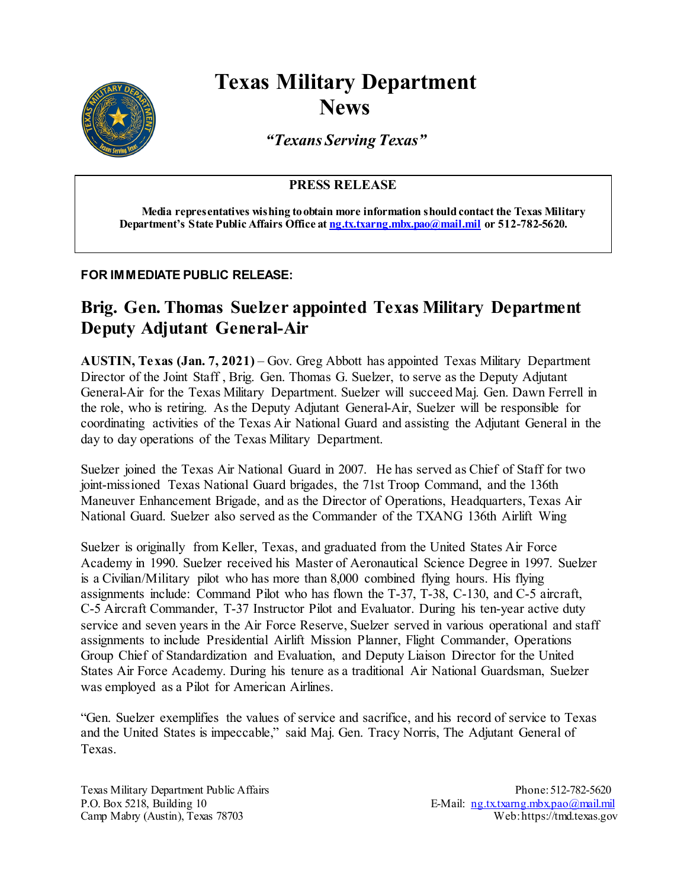

## **Texas Military Department News**

*"Texans Serving Texas"*

**PRESS RELEASE**

**Media representatives wishing to obtain more information should contact the Texas Military Department's State Public Affairs Office at [ng.tx.txarng.mbx.pao@mail.mil](mailto:ng.tx.txarng.mbx.pao@mail.mil) or 512-782-5620.**

## **FOR IMMEDIATE PUBLIC RELEASE:**

## **Brig. Gen. Thomas Suelzer appointed Texas Military Department Deputy Adjutant General-Air**

**AUSTIN, Texas (Jan. 7, 2021)** – Gov. Greg Abbott has appointed Texas Military Department Director of the Joint Staff , Brig. Gen. Thomas G. Suelzer, to serve as the Deputy Adjutant General-Air for the Texas Military Department. Suelzer will succeed Maj. Gen. Dawn Ferrell in the role, who is retiring. As the Deputy Adjutant General-Air, Suelzer will be responsible for coordinating activities of the Texas Air National Guard and assisting the Adjutant General in the day to day operations of the Texas Military Department.

Suelzer joined the Texas Air National Guard in 2007. He has served as Chief of Staff for two joint-missioned Texas National Guard brigades, the 71st Troop Command, and the 136th Maneuver Enhancement Brigade, and as the Director of Operations, Headquarters, Texas Air National Guard. Suelzer also served as the Commander of the TXANG 136th Airlift Wing

Suelzer is originally from Keller, Texas, and graduated from the United States Air Force Academy in 1990. Suelzer received his Master of Aeronautical Science Degree in 1997. Suelzer is a Civilian/Military pilot who has more than 8,000 combined flying hours. His flying assignments include: Command Pilot who has flown the T-37, T-38, C-130, and C-5 aircraft, C-5 Aircraft Commander, T-37 Instructor Pilot and Evaluator. During his ten-year active duty service and seven years in the Air Force Reserve, Suelzer served in various operational and staff assignments to include Presidential Airlift Mission Planner, Flight Commander, Operations Group Chief of Standardization and Evaluation, and Deputy Liaison Director for the United States Air Force Academy. During his tenure as a traditional Air National Guardsman, Suelzer was employed as a Pilot for American Airlines.

"Gen. Suelzer exemplifies the values of service and sacrifice, and his record of service to Texas and the United States is impeccable," said Maj. Gen. Tracy Norris, The Adjutant General of Texas.

Texas Military Department Public Affairs Phone: 512-782-5620 P.O. Box 5218, Building 10<br>
Camp Mabry (Austin), Texas 78703 E-Mail: [ng.tx.txarng.mbx.pao@mail.mil](mailto:ng.tx.txarng.mbx.pao@mail.mil)<br>
Web:https://tmd.texas.gov Camp Mabry (Austin), Texas 78703